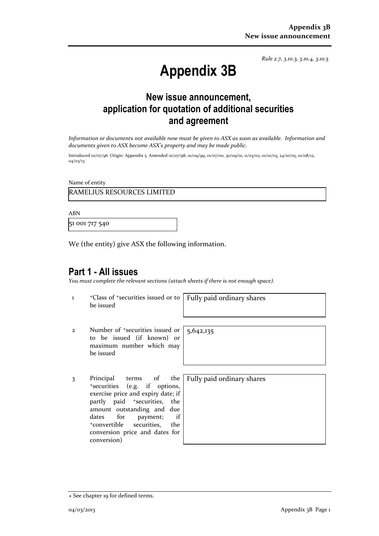*Rule 2.7, 3.10.3, 3.10.4, 3.10.5*

# **Appendix 3B**

### **New issue announcement, application for quotation of additional securities and agreement**

*Information or documents not available now must be given to ASX as soon as available. Information and documents given to ASX become ASX's property and may be made public.*

Introduced 01/07/96 Origin: Appendix 5 Amended 01/07/98, 01/09/99, 01/07/00, 30/09/01, 11/03/02, 01/01/03, 24/10/05, 01/08/12, 04/03/13

Name of entity

### RAMELIUS RESOURCES LIMITED

ABN

51 001 717 540

We (the entity) give ASX the following information.

### **Part 1 - All issues**

*You must complete the relevant sections (attach sheets if there is not enough space).*

1 <sup>+</sup>Class of +securities issued or to be issued

Fully paid ordinary shares

- 2 Number of +securities issued or to be issued (if known) or maximum number which may be issued
- 3 Principal terms of the <sup>+</sup>securities (e.g. if options, exercise price and expiry date; if partly paid <sup>+</sup>securities, the amount outstanding and due dates for payment; if <sup>+</sup>convertible securities, the conversion price and dates for conversion)

5,642,135

Fully paid ordinary shares

<sup>+</sup> See chapter 19 for defined terms.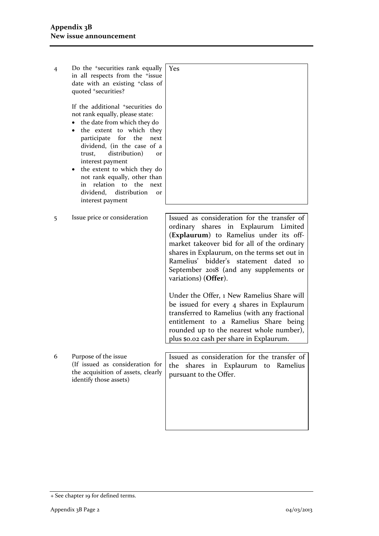| $\overline{4}$ | Do the <sup>+</sup> securities rank equally<br>in all respects from the <sup>+</sup> issue<br>date with an existing <sup>+</sup> class of<br>quoted +securities?<br>If the additional <sup>+</sup> securities do<br>not rank equally, please state:<br>the date from which they do<br>٠<br>the extent to which they<br>٠<br>participate for the<br>next<br>dividend, (in the case of a<br>distribution)<br>trust,<br><b>or</b><br>interest payment<br>the extent to which they do<br>not rank equally, other than<br>relation to the<br>in<br>next<br>dividend, distribution<br><b>Or</b><br>interest payment | Yes                                                                                                                                                                                                                                                                                                                                     |
|----------------|---------------------------------------------------------------------------------------------------------------------------------------------------------------------------------------------------------------------------------------------------------------------------------------------------------------------------------------------------------------------------------------------------------------------------------------------------------------------------------------------------------------------------------------------------------------------------------------------------------------|-----------------------------------------------------------------------------------------------------------------------------------------------------------------------------------------------------------------------------------------------------------------------------------------------------------------------------------------|
| 5              | Issue price or consideration                                                                                                                                                                                                                                                                                                                                                                                                                                                                                                                                                                                  | Issued as consideration for the transfer of<br>ordinary shares in Explaurum Limited<br>(Explaurum) to Ramelius under its off-<br>market takeover bid for all of the ordinary<br>shares in Explaurum, on the terms set out in<br>Ramelius' bidder's statement dated 10<br>September 2018 (and any supplements or<br>variations) (Offer). |
|                |                                                                                                                                                                                                                                                                                                                                                                                                                                                                                                                                                                                                               | Under the Offer, 1 New Ramelius Share will<br>be issued for every 4 shares in Explaurum<br>transferred to Ramelius (with any fractional<br>entitlement to a Ramelius Share being<br>rounded up to the nearest whole number),<br>plus \$0.02 cash per share in Explaurum.                                                                |
| 6              | Purpose of the issue<br>(If issued as consideration for<br>the acquisition of assets, clearly<br>identify those assets)                                                                                                                                                                                                                                                                                                                                                                                                                                                                                       | Issued as consideration for the transfer of<br>shares in Explaurum to<br>the<br>Ramelius<br>pursuant to the Offer.                                                                                                                                                                                                                      |

<sup>+</sup> See chapter 19 for defined terms.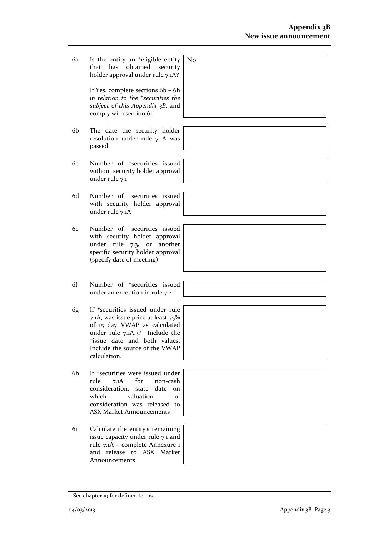6a Is the entity an +eligible entity that has obtained security holder approval under rule 7.1A?

> If Yes, complete sections 6b – 6h *in relation to the +securities the subject of this Appendix 3B*, and comply with section 6i

- 6b The date the security holder resolution under rule 7.1A was passed
- 6c Number of +securities issued without security holder approval under rule 7.1
- 6d Number of +securities issued with security holder approval under rule 7.1A
- 6e Number of +securities issued with security holder approval under rule 7.3, or another specific security holder approval (specify date of meeting)
- 6f Number of +securities issued under an exception in rule 7.2
- 6g If +securities issued under rule 7.1A, was issue price at least 75% of 15 day VWAP as calculated under rule 7.1A.3? Include the <sup>+</sup>issue date and both values. Include the source of the VWAP calculation.
- 6h If +securities were issued under rule 7.1A for non-cash consideration, state date on which valuation of consideration was released to ASX Market Announcements
- 6i Calculate the entity's remaining issue capacity under rule 7.1 and rule 7.1A – complete Annexure 1 and release to ASX Market Announcements





+ See chapter 19 for defined terms.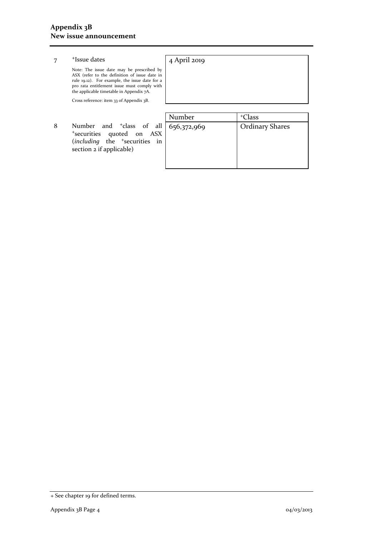#### 7 <sup>+</sup>Issue dates

#### 4 April 2019

Note: The issue date may be prescribed by ASX (refer to the definition of issue date in rule 19.12). For example, the issue date for a pro rata entitlement issue must comply with the applicable timetable in Appendix 7A.

Cross reference: item 33 of Appendix 3B.

8 Number and <sup>+</sup>class of al <sup>+</sup>securities quoted on ASX (*including* the <sup>+</sup>securities in section 2 if applicable)

|   | Number      | <sup>+</sup> Class     |
|---|-------------|------------------------|
|   | 656,372,969 | <b>Ordinary Shares</b> |
| K |             |                        |
| n |             |                        |
|   |             |                        |
|   |             |                        |
|   |             |                        |

<sup>+</sup> See chapter 19 for defined terms.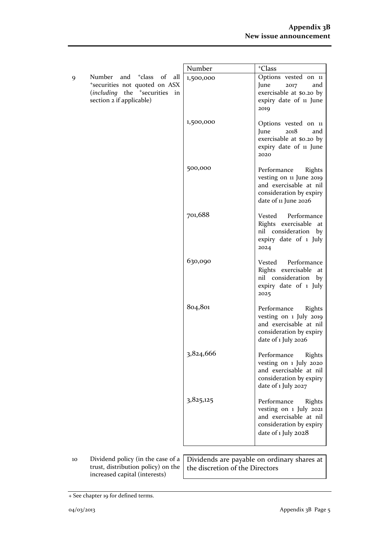|    |                                                                                                                                                           | Number    | <sup>+</sup> Class                                                                                                            |
|----|-----------------------------------------------------------------------------------------------------------------------------------------------------------|-----------|-------------------------------------------------------------------------------------------------------------------------------|
| 9  | Number and <sup>+</sup> class<br>- of<br>all<br>*securities not quoted on ASX<br>(including the <sup>+</sup> securities<br>in<br>section 2 if applicable) | 1,500,000 | Options vested on 11<br>June<br>and<br>2017<br>exercisable at \$0.20 by<br>expiry date of 11 June<br>2019                     |
|    |                                                                                                                                                           | 1,500,000 | Options vested on 11<br>June<br>2018<br>and<br>exercisable at \$0.20 by<br>expiry date of 11 June<br>2020                     |
|    |                                                                                                                                                           | 500,000   | Performance<br>Rights<br>vesting on 11 June 2019<br>and exercisable at nil<br>consideration by expiry<br>date of 11 June 2026 |
|    |                                                                                                                                                           | 701,688   | Vested Performance<br>Rights exercisable at<br>nil consideration<br>by<br>expiry date of 1 July<br>2024                       |
|    |                                                                                                                                                           | 630,090   | Vested Performance<br>Rights exercisable at<br>nil consideration<br>by<br>expiry date of 1 July<br>2025                       |
|    |                                                                                                                                                           | 804,801   | Performance<br>Rights<br>vesting on 1 July 2019<br>and exercisable at nil<br>consideration by expiry<br>date of 1 July 2026   |
|    |                                                                                                                                                           | 3,824,666 | Performance<br>Rights<br>vesting on 1 July 2020<br>and exercisable at nil<br>consideration by expiry<br>date of 1 July 2027   |
|    |                                                                                                                                                           | 3,825,125 | Performance<br>Rights<br>vesting on 1 July 2021<br>and exercisable at nil<br>consideration by expiry<br>date of 1 July 2028   |
| 10 | Dividend policy (in the case of a $\vert$ Dividends are payable on ordinary shares at                                                                     |           |                                                                                                                               |

10 Dividend policy (in the case of a trust, distribution policy) on the increased capital (interests)

Dividends are payable on ordinary shares at the discretion of the Directors

<sup>+</sup> See chapter 19 for defined terms.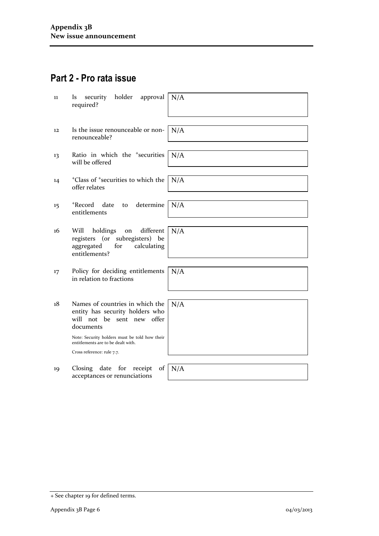## **Part 2 - Pro rata issue**

| 11 | holder<br>security<br>approval<br>ls<br>required?                                                                             | N/A |
|----|-------------------------------------------------------------------------------------------------------------------------------|-----|
| 12 | Is the issue renounceable or non-<br>renounceable?                                                                            | N/A |
| 13 | Ratio in which the <sup>+</sup> securities<br>will be offered                                                                 | N/A |
| 14 | <sup>+</sup> Class of <sup>+</sup> securities to which the<br>offer relates                                                   | N/A |
| 15 | determine<br>+Record<br>date<br>to<br>entitlements                                                                            | N/A |
| 16 | holdings<br>different<br>Will<br>on<br>registers (or subregisters)<br>be<br>for<br>calculating<br>aggregated<br>entitlements? | N/A |
| 17 | Policy for deciding entitlements<br>in relation to fractions                                                                  | N/A |
| 18 | Names of countries in which the<br>entity has security holders who<br>will not be sent new offer<br>documents                 | N/A |
|    | Note: Security holders must be told how their<br>entitlements are to be dealt with.                                           |     |
|    | Cross reference: rule 7.7.                                                                                                    |     |
| 19 | Closing date for<br>receipt<br>of<br>acceptances or renunciations                                                             | N/A |

<sup>+</sup> See chapter 19 for defined terms.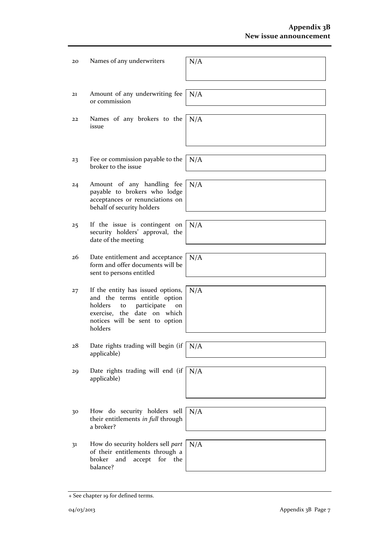| 20 | Names of any underwriters                                                                                                                                                           | N/A |
|----|-------------------------------------------------------------------------------------------------------------------------------------------------------------------------------------|-----|
| 21 | Amount of any underwriting fee<br>or commission                                                                                                                                     | N/A |
| 22 | Names of any brokers to the<br>issue                                                                                                                                                | N/A |
| 23 | Fee or commission payable to the<br>broker to the issue                                                                                                                             | N/A |
| 24 | Amount of any handling fee<br>payable to brokers who lodge<br>acceptances or renunciations on<br>behalf of security holders                                                         | N/A |
| 25 | If the issue is contingent on<br>security holders' approval, the<br>date of the meeting                                                                                             | N/A |
| 26 | Date entitlement and acceptance<br>form and offer documents will be<br>sent to persons entitled                                                                                     | N/A |
| 27 | If the entity has issued options,<br>and the terms entitle option<br>holders<br>participate<br>to<br>on<br>exercise, the date on which<br>notices will be sent to option<br>holders | N/A |
| 28 | Date rights trading will begin (if<br>applicable)                                                                                                                                   | N/A |
| 29 | Date rights trading will end (if $\vert$<br>applicable)                                                                                                                             | N/A |
| 30 | How do security holders sell<br>their entitlements in full through<br>a broker?                                                                                                     | N/A |
| 31 | How do security holders sell part<br>of their entitlements through a<br>for the<br>broker<br>and<br>accept<br>balance?                                                              | N/A |

<sup>+</sup> See chapter 19 for defined terms.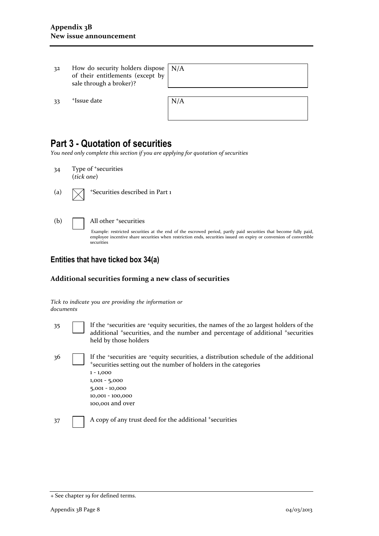| 32  | How do security holders dispose $\vert N/A \rangle$<br>of their entitlements (except by<br>sale through a broker)? |     |
|-----|--------------------------------------------------------------------------------------------------------------------|-----|
| -33 | <sup>+</sup> Issue date                                                                                            | N/A |

### **Part 3 - Quotation of securities**

*You need only complete this section if you are applying for quotation of securities*

- 34 Type of <sup>+</sup>securities (*tick one*) (a)  $\Box$  +Securities described in Part 1
- 

#### (b)  $\Box$  All other  $\ddagger$  securities

Example: restricted securities at the end of the escrowed period, partly paid securities that become fully paid, employee incentive share securities when restriction ends, securities issued on expiry or conversion of convertible securities

### **Entities that have ticked box 34(a)**

#### **Additional securities forming a new class of securities**

|           |  |  | Tick to indicate you are providing the information or |  |
|-----------|--|--|-------------------------------------------------------|--|
| documents |  |  |                                                       |  |

- 35 If the <sup>+</sup>securities are <sup>+</sup>equity securities, the names of the 20 largest holders of the additional <sup>+</sup>securities, and the number and percentage of additional <sup>+</sup>securities held by those holders
- 36 If the <sup>+</sup>securities are <sup>+</sup>equity securities, a distribution schedule of the additional <sup>+</sup>securities setting out the number of holders in the categories 1 - 1,000 1,001 - 5,000 5,001 - 10,000 10,001 - 100,000 100,001 and over

37 A copy of any trust deed for the additional +securities

<sup>+</sup> See chapter 19 for defined terms.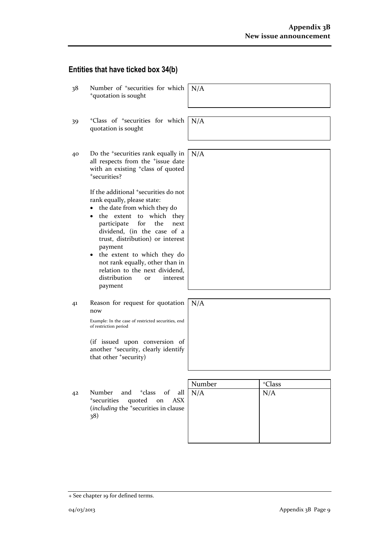### **Entities that have ticked box 34(b)**

| 38 | Number of <sup>+</sup> securities for which<br><sup>+</sup> quotation is sought                                                                                                                                                                                                                                                                                                                                                    | N/A           |                           |
|----|------------------------------------------------------------------------------------------------------------------------------------------------------------------------------------------------------------------------------------------------------------------------------------------------------------------------------------------------------------------------------------------------------------------------------------|---------------|---------------------------|
| 39 | <sup>+</sup> Class of <sup>+</sup> securities for which<br>quotation is sought                                                                                                                                                                                                                                                                                                                                                     | N/A           |                           |
| 40 | Do the <sup>+</sup> securities rank equally in<br>all respects from the <sup>+</sup> issue date<br>with an existing <sup>+</sup> class of quoted<br>*securities?                                                                                                                                                                                                                                                                   | N/A           |                           |
|    | If the additional <sup>+</sup> securities do not<br>rank equally, please state:<br>the date from which they do<br>the extent to which they<br>for<br>participate<br>the<br>next<br>dividend, (in the case of a<br>trust, distribution) or interest<br>payment<br>the extent to which they do<br>$\bullet$<br>not rank equally, other than in<br>relation to the next dividend,<br>distribution<br>interest<br><b>or</b><br>payment |               |                           |
| 41 | Reason for request for quotation<br>now<br>Example: In the case of restricted securities, end<br>of restriction period                                                                                                                                                                                                                                                                                                             | N/A           |                           |
|    | (if issued upon conversion of<br>another <sup>+</sup> security, clearly identify<br>that other 'security)                                                                                                                                                                                                                                                                                                                          |               |                           |
| 42 | Number<br>and <sup>+</sup> class<br>of<br>all<br><sup>+</sup> securities<br>quoted on<br><b>ASX</b><br>(including the <sup>+</sup> securities in clause<br>38)                                                                                                                                                                                                                                                                     | Number<br>N/A | <sup>+</sup> Class<br>N/A |

<sup>+</sup> See chapter 19 for defined terms.